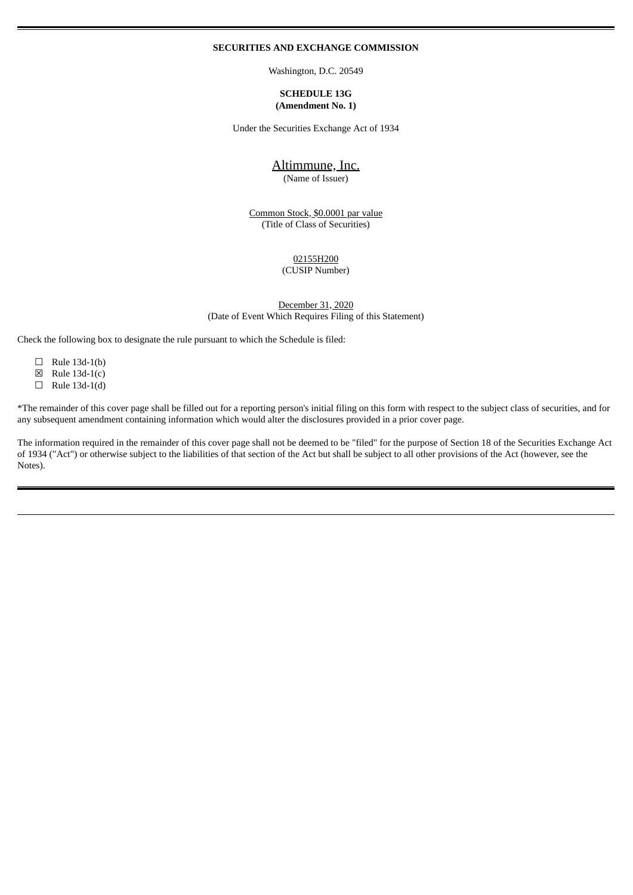#### **SECURITIES AND EXCHANGE COMMISSION**

Washington, D.C. 20549

#### **SCHEDULE 13G (Amendment No. 1)**

Under the Securities Exchange Act of 1934

# Altimmune, Inc.

(Name of Issuer)

Common Stock, \$0.0001 par value (Title of Class of Securities)

> 02155H200 (CUSIP Number)

December 31, 2020 (Date of Event Which Requires Filing of this Statement)

Check the following box to designate the rule pursuant to which the Schedule is filed:

- ☐ Rule 13d-1(b)
- $\boxtimes$  Rule 13d-1(c)
- $\Box$  Rule 13d-1(d)

\*The remainder of this cover page shall be filled out for a reporting person's initial filing on this form with respect to the subject class of securities, and for any subsequent amendment containing information which would alter the disclosures provided in a prior cover page.

The information required in the remainder of this cover page shall not be deemed to be "filed" for the purpose of Section 18 of the Securities Exchange Act of 1934 ("Act") or otherwise subject to the liabilities of that section of the Act but shall be subject to all other provisions of the Act (however, see the Notes).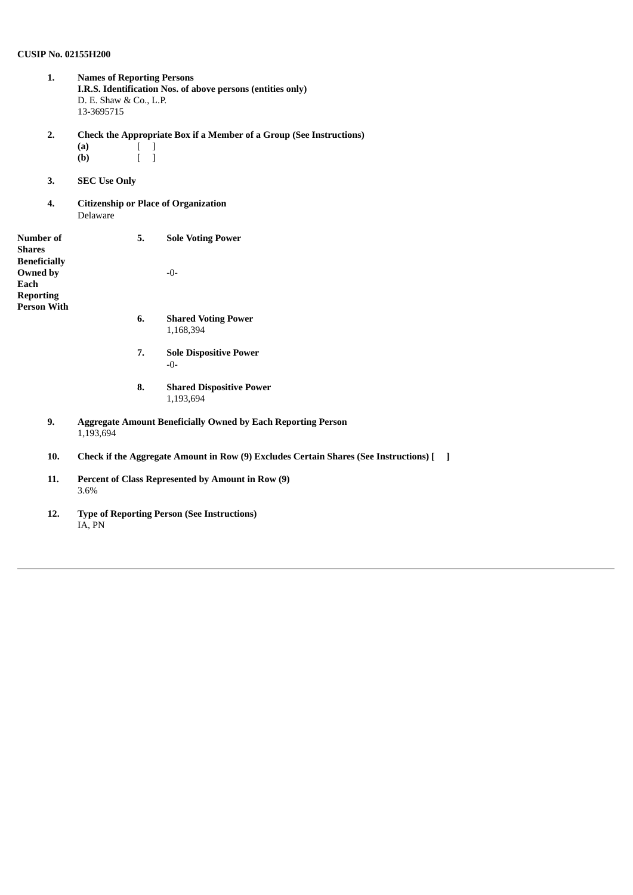# **CUSIP No. 02155H200**

- **1. Names of Reporting Persons I.R.S. Identification Nos. of above persons (entities only)** D. E. Shaw & Co., L.P. 13-3695715 **2. Check the Appropriate Box if a Member of a Group (See Instructions) (a)** [ ] **(b)** [ ] **3. SEC Use Only 4. Citizenship or Place of Organization** Delaware **Number of Shares Beneficially Owned by Each Reporting Person With 5. Sole Voting Power** -0- **6. Shared Voting Power** 1,168,394 **7. Sole Dispositive Power** -0- **8. Shared Dispositive Power** 1,193,694 **9. Aggregate Amount Beneficially Owned by Each Reporting Person** 1,193,694 **10. Check if the Aggregate Amount in Row (9) Excludes Certain Shares (See Instructions) [ ] 11. Percent of Class Represented by Amount in Row (9)** 3.6%
	- **12. Type of Reporting Person (See Instructions)** IA, PN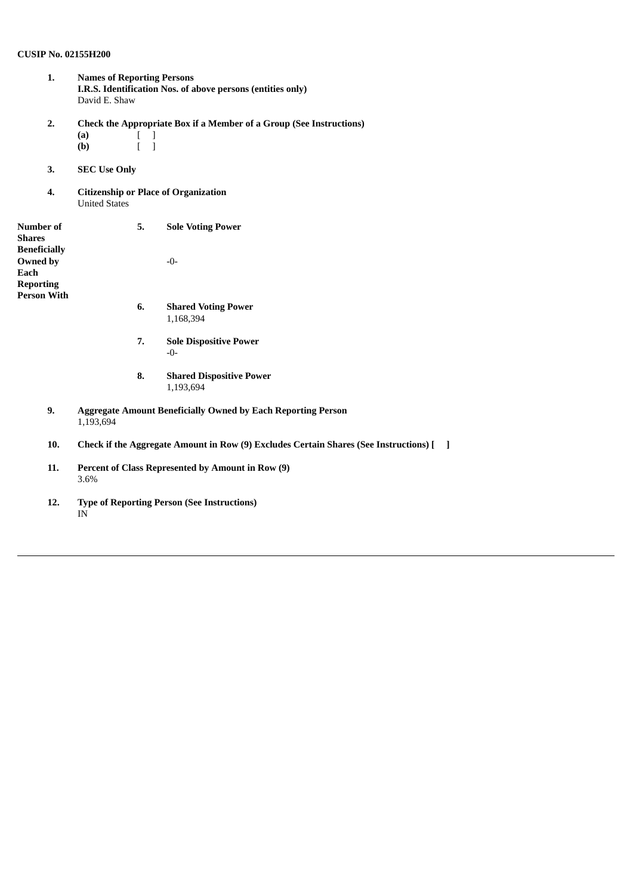# **CUSIP No. 02155H200**

- **1. Names of Reporting Persons I.R.S. Identification Nos. of above persons (entities only)** David E. Shaw
- **2. Check the Appropriate Box if a Member of a Group (See Instructions)**  $(a)$   $[$   $]$ **(b)** [ ]
- **3. SEC Use Only**
- **4. Citizenship or Place of Organization** United States

| Number of<br><b>Shares</b><br><b>Beneficially</b>          | 5.        | <b>Sole Voting Power</b>                                                              |                |
|------------------------------------------------------------|-----------|---------------------------------------------------------------------------------------|----------------|
| Owned by<br>Each<br><b>Reporting</b><br><b>Person With</b> |           | $-0-$                                                                                 |                |
|                                                            | 6.        | <b>Shared Voting Power</b><br>1,168,394                                               |                |
|                                                            | 7.        | <b>Sole Dispositive Power</b><br>-0-                                                  |                |
|                                                            | 8.        | <b>Shared Dispositive Power</b><br>1,193,694                                          |                |
| 9.                                                         | 1,193,694 | <b>Aggregate Amount Beneficially Owned by Each Reporting Person</b>                   |                |
| 10.                                                        |           | Check if the Aggregate Amount in Row (9) Excludes Certain Shares (See Instructions) [ | $\blacksquare$ |

- **11. Percent of Class Represented by Amount in Row (9)** 3.6%
- **12. Type of Reporting Person (See Instructions)** IN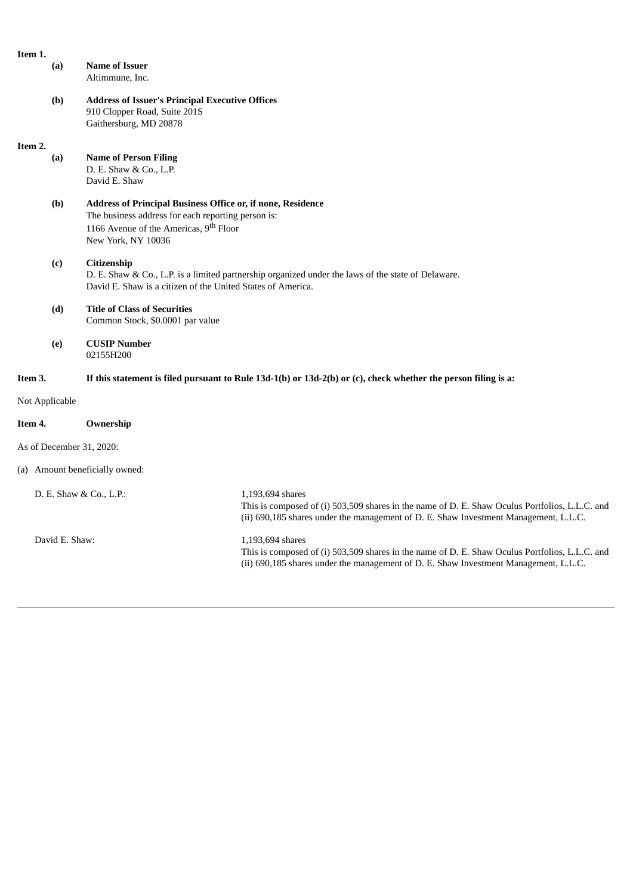| Item 1.        |                |                                                                                                                                                                                               |                                                                                                                                                                                                            |
|----------------|----------------|-----------------------------------------------------------------------------------------------------------------------------------------------------------------------------------------------|------------------------------------------------------------------------------------------------------------------------------------------------------------------------------------------------------------|
|                | (a)            | <b>Name of Issuer</b><br>Altimmune, Inc.                                                                                                                                                      |                                                                                                                                                                                                            |
|                | (b)            | <b>Address of Issuer's Principal Executive Offices</b><br>910 Clopper Road, Suite 201S<br>Gaithersburg, MD 20878                                                                              |                                                                                                                                                                                                            |
| Item 2.        |                |                                                                                                                                                                                               |                                                                                                                                                                                                            |
|                | (a)            | <b>Name of Person Filing</b><br>D. E. Shaw & Co., L.P.<br>David E. Shaw                                                                                                                       |                                                                                                                                                                                                            |
|                | (b)            | Address of Principal Business Office or, if none, Residence<br>The business address for each reporting person is:<br>1166 Avenue of the Americas, 9 <sup>th</sup> Floor<br>New York, NY 10036 |                                                                                                                                                                                                            |
|                | (c)            | Citizenship<br>David E. Shaw is a citizen of the United States of America.                                                                                                                    | D. E. Shaw & Co., L.P. is a limited partnership organized under the laws of the state of Delaware.                                                                                                         |
|                | (d)            | <b>Title of Class of Securities</b><br>Common Stock, \$0.0001 par value                                                                                                                       |                                                                                                                                                                                                            |
|                | (e)            | <b>CUSIP Number</b><br>02155H200                                                                                                                                                              |                                                                                                                                                                                                            |
| Item 3.        |                |                                                                                                                                                                                               | If this statement is filed pursuant to Rule 13d-1(b) or 13d-2(b) or (c), check whether the person filing is a:                                                                                             |
|                | Not Applicable |                                                                                                                                                                                               |                                                                                                                                                                                                            |
| Item 4.        |                | Ownership                                                                                                                                                                                     |                                                                                                                                                                                                            |
|                |                | As of December 31, 2020:                                                                                                                                                                      |                                                                                                                                                                                                            |
|                |                | (a) Amount beneficially owned:                                                                                                                                                                |                                                                                                                                                                                                            |
|                |                | D. E. Shaw & Co., L.P.:                                                                                                                                                                       | 1,193,694 shares<br>This is composed of (i) 503,509 shares in the name of D. E. Shaw Oculus Portfolios, L.L.C. and<br>(ii) 690,185 shares under the management of D. E. Shaw Investment Management, L.L.C. |
| David E. Shaw: |                |                                                                                                                                                                                               | 1,193,694 shares<br>This is composed of (i) 503,509 shares in the name of D. E. Shaw Oculus Portfolios, L.L.C. and<br>(ii) 690,185 shares under the management of D. E. Shaw Investment Management, L.L.C. |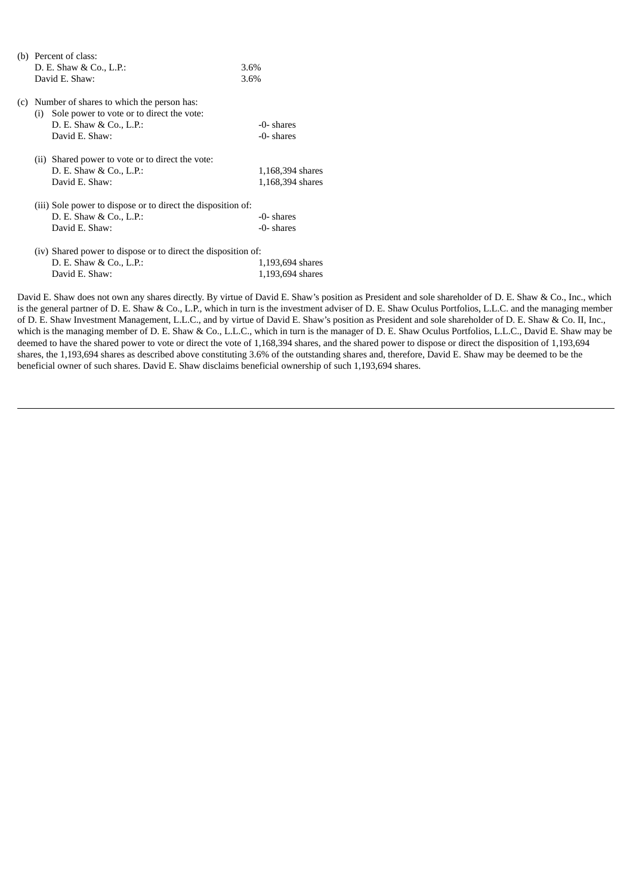| D. E. Shaw & Co., L.P.:<br>David E. Shaw: | 3.6%                                                                                                                                                                                                                                                                            |
|-------------------------------------------|---------------------------------------------------------------------------------------------------------------------------------------------------------------------------------------------------------------------------------------------------------------------------------|
|                                           |                                                                                                                                                                                                                                                                                 |
|                                           | 3.6%                                                                                                                                                                                                                                                                            |
| D. E. Shaw & Co., L.P.:<br>David E. Shaw: | -0- shares<br>-0- shares                                                                                                                                                                                                                                                        |
| D. E. Shaw & Co., L.P.:<br>David E. Shaw: | 1,168,394 shares<br>1,168,394 shares                                                                                                                                                                                                                                            |
| D. E. Shaw & Co., L.P.:<br>David E. Shaw: | -0- shares<br>-0- shares                                                                                                                                                                                                                                                        |
| D. E. Shaw & Co., L.P.:<br>David E. Shaw: | 1,193,694 shares<br>1,193,694 shares                                                                                                                                                                                                                                            |
|                                           | Number of shares to which the person has:<br>(i) Sole power to vote or to direct the vote:<br>(ii) Shared power to vote or to direct the vote:<br>(iii) Sole power to dispose or to direct the disposition of:<br>(iv) Shared power to dispose or to direct the disposition of: |

David E. Shaw does not own any shares directly. By virtue of David E. Shaw's position as President and sole shareholder of D. E. Shaw & Co., Inc., which is the general partner of D. E. Shaw & Co., L.P., which in turn is the investment adviser of D. E. Shaw Oculus Portfolios, L.L.C. and the managing member of D. E. Shaw Investment Management, L.L.C., and by virtue of David E. Shaw's position as President and sole shareholder of D. E. Shaw & Co. II, Inc., which is the managing member of D. E. Shaw & Co., L.L.C., which in turn is the manager of D. E. Shaw Oculus Portfolios, L.L.C., David E. Shaw may be deemed to have the shared power to vote or direct the vote of 1,168,394 shares, and the shared power to dispose or direct the disposition of 1,193,694 shares, the 1,193,694 shares as described above constituting 3.6% of the outstanding shares and, therefore, David E. Shaw may be deemed to be the beneficial owner of such shares. David E. Shaw disclaims beneficial ownership of such 1,193,694 shares.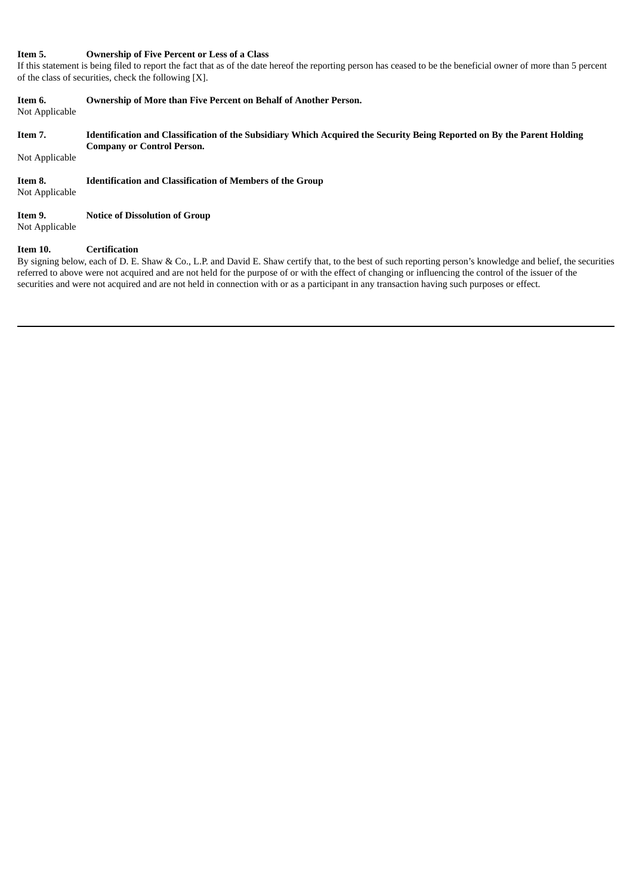# **Item 5. Ownership of Five Percent or Less of a Class**

If this statement is being filed to report the fact that as of the date hereof the reporting person has ceased to be the beneficial owner of more than 5 percent of the class of securities, check the following [X].

| Item 6.<br>Not Applicable | <b>Ownership of More than Five Percent on Behalf of Another Person.</b>                                                                                                              |
|---------------------------|--------------------------------------------------------------------------------------------------------------------------------------------------------------------------------------|
| Item 7.                   | Identification and Classification of the Subsidiary Which Acquired the Security Being Reported on By the Parent Holding<br><b>Company or Control Person.</b>                         |
| Not Applicable            |                                                                                                                                                                                      |
| Item 8.<br>Not Applicable | <b>Identification and Classification of Members of the Group</b>                                                                                                                     |
| Item 9.<br>Not Applicable | <b>Notice of Dissolution of Group</b>                                                                                                                                                |
| Item 10.                  | <b>Certification</b><br>By signing below, each of D. E. Shaw & Co., L.P. and David E. Shaw certify that, to the best of such reporting person's knowledge and belief, the securities |

referred to above were not acquired and are not held for the purpose of or with the effect of changing or influencing the control of the issuer of the securities and were not acquired and are not held in connection with or as a participant in any transaction having such purposes or effect.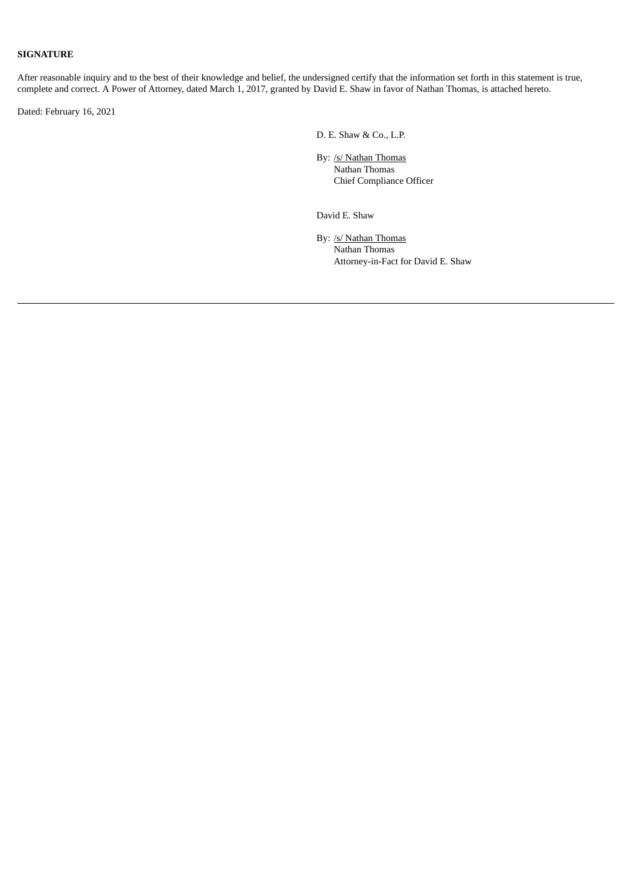# **SIGNATURE**

After reasonable inquiry and to the best of their knowledge and belief, the undersigned certify that the information set forth in this statement is true, complete and correct. A Power of Attorney, dated March 1, 2017, granted by David E. Shaw in favor of Nathan Thomas, is attached hereto.

Dated: February 16, 2021

D. E. Shaw & Co., L.P.

By: /s/ Nathan Thomas Nathan Thomas Chief Compliance Officer

David E. Shaw

By: /s/ Nathan Thomas Nathan Thomas Attorney-in-Fact for David E. Shaw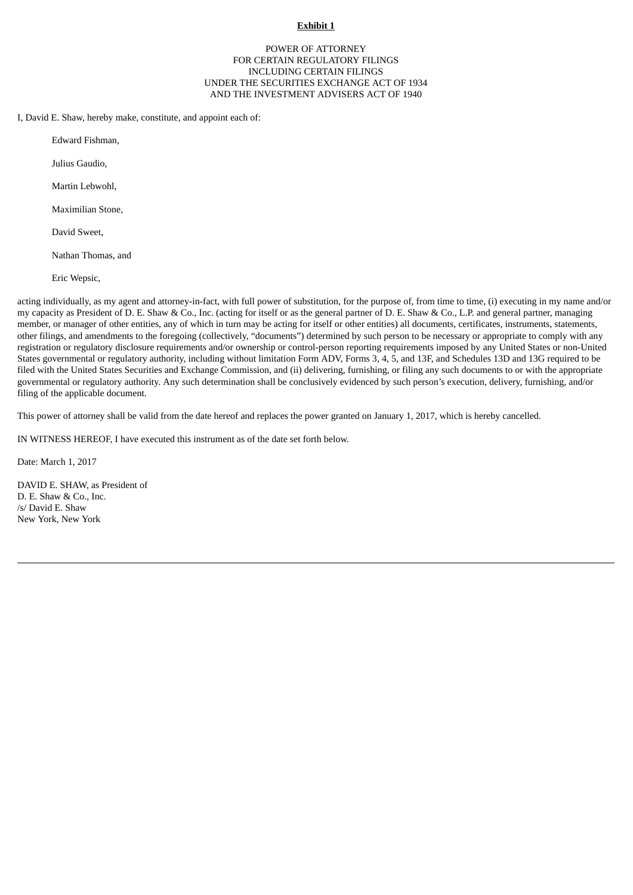### **Exhibit 1**

## POWER OF ATTORNEY FOR CERTAIN REGULATORY FILINGS INCLUDING CERTAIN FILINGS UNDER THE SECURITIES EXCHANGE ACT OF 1934 AND THE INVESTMENT ADVISERS ACT OF 1940

I, David E. Shaw, hereby make, constitute, and appoint each of:

Edward Fishman,

Julius Gaudio,

Martin Lebwohl,

Maximilian Stone,

David Sweet,

Nathan Thomas, and

Eric Wepsic,

acting individually, as my agent and attorney-in-fact, with full power of substitution, for the purpose of, from time to time, (i) executing in my name and/or my capacity as President of D. E. Shaw & Co., Inc. (acting for itself or as the general partner of D. E. Shaw & Co., L.P. and general partner, managing member, or manager of other entities, any of which in turn may be acting for itself or other entities) all documents, certificates, instruments, statements, other filings, and amendments to the foregoing (collectively, "documents") determined by such person to be necessary or appropriate to comply with any registration or regulatory disclosure requirements and/or ownership or control-person reporting requirements imposed by any United States or non-United States governmental or regulatory authority, including without limitation Form ADV, Forms 3, 4, 5, and 13F, and Schedules 13D and 13G required to be filed with the United States Securities and Exchange Commission, and (ii) delivering, furnishing, or filing any such documents to or with the appropriate governmental or regulatory authority. Any such determination shall be conclusively evidenced by such person's execution, delivery, furnishing, and/or filing of the applicable document.

This power of attorney shall be valid from the date hereof and replaces the power granted on January 1, 2017, which is hereby cancelled.

IN WITNESS HEREOF, I have executed this instrument as of the date set forth below.

Date: March 1, 2017

DAVID E. SHAW, as President of D. E. Shaw & Co., Inc. /s/ David E. Shaw New York, New York